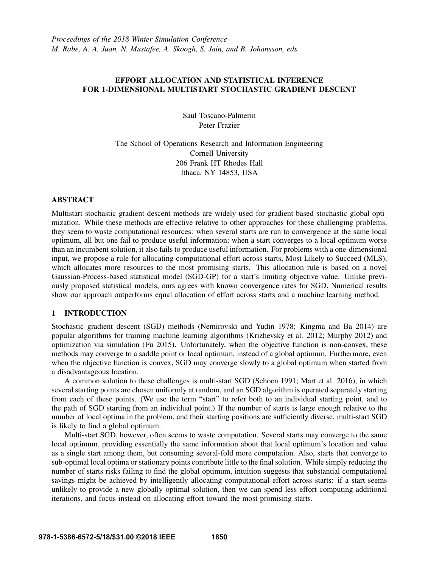# EFFORT ALLOCATION AND STATISTICAL INFERENCE FOR 1-DIMENSIONAL MULTISTART STOCHASTIC GRADIENT DESCENT

Saul Toscano-Palmerin Peter Frazier

The School of Operations Research and Information Engineering Cornell University 206 Frank HT Rhodes Hall Ithaca, NY 14853, USA

## ABSTRACT

Multistart stochastic gradient descent methods are widely used for gradient-based stochastic global optimization. While these methods are effective relative to other approaches for these challenging problems, they seem to waste computational resources: when several starts are run to convergence at the same local optimum, all but one fail to produce useful information; when a start converges to a local optimum worse than an incumbent solution, it also fails to produce useful information. For problems with a one-dimensional input, we propose a rule for allocating computational effort across starts, Most Likely to Succeed (MLS), which allocates more resources to the most promising starts. This allocation rule is based on a novel Gaussian-Process-based statistical model (SGD-GP) for a start's limiting objective value. Unlike previously proposed statistical models, ours agrees with known convergence rates for SGD. Numerical results show our approach outperforms equal allocation of effort across starts and a machine learning method.

# 1 INTRODUCTION

Stochastic gradient descent (SGD) methods (Nemirovski and Yudin 1978; Kingma and Ba 2014) are popular algorithms for training machine learning algorithms (Krizhevsky et al. 2012; Murphy 2012) and optimization via simulation (Fu 2015). Unfortunately, when the objective function is non-convex, these methods may converge to a saddle point or local optimum, instead of a global optimum. Furthermore, even when the objective function is convex, SGD may converge slowly to a global optimum when started from a disadvantageous location.

A common solution to these challenges is multi-start SGD (Schoen 1991; Mart et al. 2016), in which several starting points are chosen uniformly at random, and an SGD algorithm is operated separately starting from each of these points. (We use the term "start" to refer both to an individual starting point, and to the path of SGD starting from an individual point.) If the number of starts is large enough relative to the number of local optima in the problem, and their starting positions are sufficiently diverse, multi-start SGD is likely to find a global optimum.

Multi-start SGD, however, often seems to waste computation. Several starts may converge to the same local optimum, providing essentially the same information about that local optimum's location and value as a single start among them, but consuming several-fold more computation. Also, starts that converge to sub-optimal local optima or stationary points contribute little to the final solution. While simply reducing the number of starts risks failing to find the global optimum, intuition suggests that substantial computational savings might be achieved by intelligently allocating computational effort across starts: if a start seems unlikely to provide a new globally optimal solution, then we can spend less effort computing additional iterations, and focus instead on allocating effort toward the most promising starts.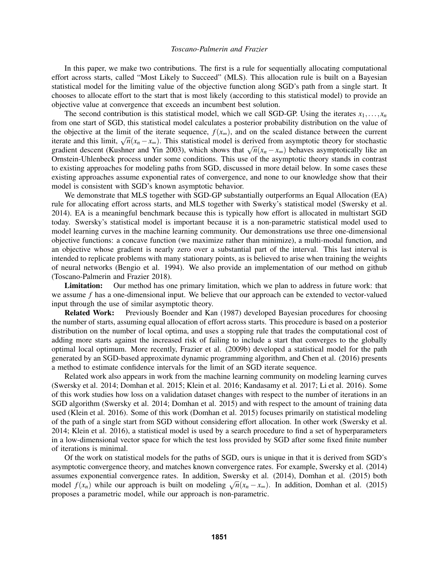In this paper, we make two contributions. The first is a rule for sequentially allocating computational effort across starts, called "Most Likely to Succeed" (MLS). This allocation rule is built on a Bayesian statistical model for the limiting value of the objective function along SGD's path from a single start. It chooses to allocate effort to the start that is most likely (according to this statistical model) to provide an objective value at convergence that exceeds an incumbent best solution.

The second contribution is this statistical model, which we call SGD-GP. Using the iterates  $x_1, \ldots, x_n$ from one start of SGD, this statistical model calculates a posterior probability distribution on the value of the objective at the limit of the iterate sequence,  $f(x_\infty)$ , and on the scaled distance between the current the objective at the fifth of the iterate sequence,  $f(x_{\infty})$ , and on the scaled distance between the current iterate and this limit,  $\sqrt{n}(x_n - x_{\infty})$ . This statistical model is derived from asymptotic theory for stochasti nerate and this fifth,  $\sqrt{n(x_n - x_\infty)}$ . This statistical model is derived from asymptotic theory for stochastic gradient descent (Kushner and Yin 2003), which shows that  $\sqrt{n(x_n - x_\infty)}$  behaves asymptotically like an Ornstein-Uhlenbeck process under some conditions. This use of the asymptotic theory stands in contrast to existing approaches for modeling paths from SGD, discussed in more detail below. In some cases these existing approaches assume exponential rates of convergence, and none to our knowledge show that their model is consistent with SGD's known asymptotic behavior.

We demonstrate that MLS together with SGD-GP substantially outperforms an Equal Allocation (EA) rule for allocating effort across starts, and MLS together with Swerky's statistical model (Swersky et al. 2014). EA is a meaningful benchmark because this is typically how effort is allocated in multistart SGD today. Swersky's statistical model is important because it is a non-parametric statistical model used to model learning curves in the machine learning community. Our demonstrations use three one-dimensional objective functions: a concave function (we maximize rather than minimize), a multi-modal function, and an objective whose gradient is nearly zero over a substantial part of the interval. This last interval is intended to replicate problems with many stationary points, as is believed to arise when training the weights of neural networks (Bengio et al. 1994). We also provide an implementation of our method on github (Toscano-Palmerin and Frazier 2018).

**Limitation:** Our method has one primary limitation, which we plan to address in future work: that we assume *f* has a one-dimensional input. We believe that our approach can be extended to vector-valued input through the use of similar asymptotic theory.

Related Work: Previously Boender and Kan (1987) developed Bayesian procedures for choosing the number of starts, assuming equal allocation of effort across starts. This procedure is based on a posterior distribution on the number of local optima, and uses a stopping rule that trades the computational cost of adding more starts against the increased risk of failing to include a start that converges to the globally optimal local optimum. More recently, Frazier et al. (2009b) developed a statistical model for the path generated by an SGD-based approximate dynamic programming algorithm, and Chen et al. (2016) presents a method to estimate confidence intervals for the limit of an SGD iterate sequence.

Related work also appears in work from the machine learning community on modeling learning curves (Swersky et al. 2014; Domhan et al. 2015; Klein et al. 2016; Kandasamy et al. 2017; Li et al. 2016). Some of this work studies how loss on a validation dataset changes with respect to the number of iterations in an SGD algorithm (Swersky et al. 2014; Domhan et al. 2015) and with respect to the amount of training data used (Klein et al. 2016). Some of this work (Domhan et al. 2015) focuses primarily on statistical modeling of the path of a single start from SGD without considering effort allocation. In other work (Swersky et al. 2014; Klein et al. 2016), a statistical model is used by a search procedure to find a set of hyperparameters in a low-dimensional vector space for which the test loss provided by SGD after some fixed finite number of iterations is minimal.

Of the work on statistical models for the paths of SGD, ours is unique in that it is derived from SGD's asymptotic convergence theory, and matches known convergence rates. For example, Swersky et al. (2014) assumes exponential convergence rates. In addition, Swersky et al. (2014), Domhan et al. (2015) both assumes exponential convergence rates. In addition, Sweetsky et al. (2014), Dominan et al. (2015) both model  $f(x_n)$  while our approach is built on modeling  $\sqrt{n}(x_n - x_\infty)$ . In addition, Domhan et al. (2015) proposes a parametric model, while our approach is non-parametric.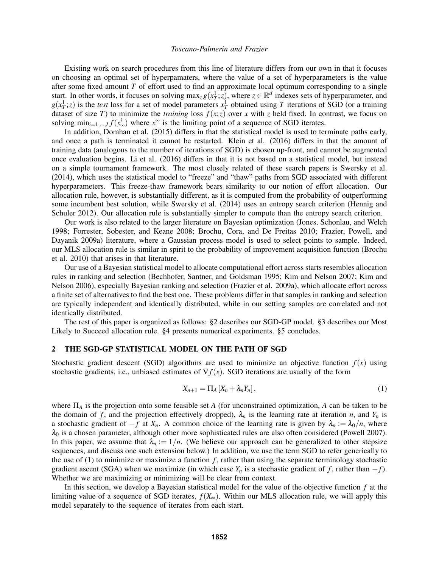Existing work on search procedures from this line of literature differs from our own in that it focuses on choosing an optimal set of hyperpamaters, where the value of a set of hyperparameters is the value after some fixed amount *T* of effort used to find an approximate local optimum corresponding to a single start. In other words, it focuses on solving  $\max_z g(x_T^1; z)$ , where  $z \in \mathbb{R}^d$  indexes sets of hyperparameter, and  $g(x_T^1; z)$  is the *test* loss for a set of model parameters  $x_T^1$  obtained using *T* iterations of SGD (or a training dataset of size *T*) to minimize the *training* loss  $f(x; z)$  over *x* with *z* held fixed. In contrast, we focus on solving  $\min_{i=1,\dots,I} f(x^i_{\infty})$  where  $x^{\infty}$  is the limiting point of a sequence of SGD iterates.

In addition, Domhan et al. (2015) differs in that the statistical model is used to terminate paths early, and once a path is terminated it cannot be restarted. Klein et al. (2016) differs in that the amount of training data (analogous to the number of iterations of SGD) is chosen up-front, and cannot be augmented once evaluation begins. Li et al. (2016) differs in that it is not based on a statistical model, but instead on a simple tournament framework. The most closely related of these search papers is Swersky et al. (2014), which uses the statistical model to "freeze" and "thaw" paths from SGD associated with different hyperparameters. This freeze-thaw framework bears similarity to our notion of effort allocation. Our allocation rule, however, is substantially different, as it is computed from the probability of outperforming some incumbent best solution, while Swersky et al. (2014) uses an entropy search criterion (Hennig and Schuler 2012). Our allocation rule is substantially simpler to compute than the entropy search criterion.

Our work is also related to the larger literature on Bayesian optimization (Jones, Schonlau, and Welch 1998; Forrester, Sobester, and Keane 2008; Brochu, Cora, and De Freitas 2010; Frazier, Powell, and Dayanik 2009a) literature, where a Gaussian process model is used to select points to sample. Indeed, our MLS allocation rule is similar in spirit to the probability of improvement acquisition function (Brochu et al. 2010) that arises in that literature.

Our use of a Bayesian statistical model to allocate computational effort across starts resembles allocation rules in ranking and selection (Bechhofer, Santner, and Goldsman 1995; Kim and Nelson 2007; Kim and Nelson 2006), especially Bayesian ranking and selection (Frazier et al. 2009a), which allocate effort across a finite set of alternatives to find the best one. These problems differ in that samples in ranking and selection are typically independent and identically distributed, while in our setting samples are correlated and not identically distributed.

The rest of this paper is organized as follows: §2 describes our SGD-GP model. §3 describes our Most Likely to Succeed allocation rule. §4 presents numerical experiments. §5 concludes.

#### 2 THE SGD-GP STATISTICAL MODEL ON THE PATH OF SGD

Stochastic gradient descent (SGD) algorithms are used to minimize an objective function  $f(x)$  using stochastic gradients, i.e., unbiased estimates of  $\nabla f(x)$ . SGD iterations are usually of the form

$$
X_{n+1} = \Pi_A \left[ X_n + \lambda_n Y_n \right], \tag{1}
$$

where Π*<sup>A</sup>* is the projection onto some feasible set *A* (for unconstrained optimization, *A* can be taken to be the domain of f, and the projection effectively dropped),  $\lambda_n$  is the learning rate at iteration *n*, and  $Y_n$  is a stochastic gradient of  $-f$  at  $X_n$ . A common choice of the learning rate is given by  $\lambda_n := \lambda_0/n$ , where  $\lambda_0$  is a chosen parameter, although other more sophisticated rules are also often considered (Powell 2007). In this paper, we assume that  $\lambda_n := 1/n$ . (We believe our approach can be generalized to other stepsize sequences, and discuss one such extension below.) In addition, we use the term SGD to refer generically to the use of  $(1)$  to minimize or maximize a function  $f$ , rather than using the separate terminology stochastic gradient ascent (SGA) when we maximize (in which case  $Y_n$  is a stochastic gradient of *f*, rather than  $-f$ ). Whether we are maximizing or minimizing will be clear from context.

In this section, we develop a Bayesian statistical model for the value of the objective function *f* at the limiting value of a sequence of SGD iterates,  $f(X_\infty)$ . Within our MLS allocation rule, we will apply this model separately to the sequence of iterates from each start.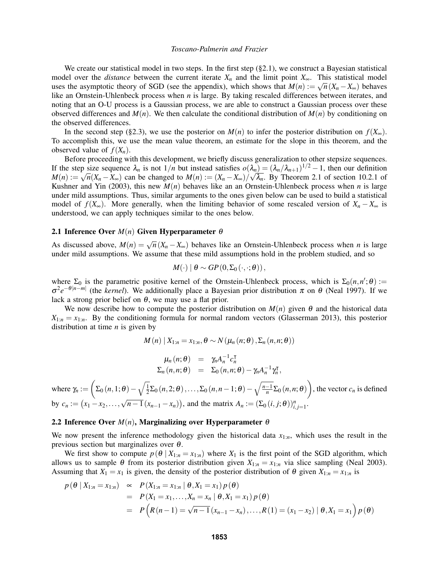We create our statistical model in two steps. In the first step  $(\S 2.1)$ , we construct a Bayesian statistical model over the *distance* between the current iterate  $X_n$  and the limit point  $X_\infty$ . This statistical model uses the asymptotic theory of SGD (see the appendix), which shows that  $M(n) := \sqrt{n}(X_n - X_\infty)$  behaves like an Ornstein-Uhlenbeck process when *n* is large. By taking rescaled differences between iterates, and noting that an O-U process is a Gaussian process, we are able to construct a Gaussian process over these observed differences and  $M(n)$ . We then calculate the conditional distribution of  $M(n)$  by conditioning on the observed differences.

In the second step (§2.3), we use the posterior on  $M(n)$  to infer the posterior distribution on  $f(X_\infty)$ . To accomplish this, we use the mean value theorem, an estimate for the slope in this theorem, and the observed value of  $f(X_n)$ .

Before proceeding with this development, we briefly discuss generalization to other stepsize sequences. If the step size sequence  $\lambda_n$  is not  $1/n$  but instead satisfies  $o(\lambda_n) = (\lambda_n/\lambda_{n+1})^{1/2} - 1$ , then our definition *M*(*n*) :=  $\sqrt{n}(X_n - X_\infty)$  can be changed to *M*(*n*) :=  $(X_n - X_\infty)$ / √  $\lambda_n$ . By Theorem 2.1 of section 10.2.1 of Kushner and Yin (2003), this new  $M(n)$  behaves like an an Ornstein-Uhlenbeck process when *n* is large under mild assumptions. Thus, similar arguments to the ones given below can be used to build a statistical model of  $f(X_\infty)$ . More generally, when the limiting behavior of some rescaled version of  $X_n - X_\infty$  is understood, we can apply techniques similar to the ones below.

### 2.1 Inference Over *M*(*n*) Given Hyperparameter θ

As discussed above,  $M(n) = \sqrt{n}(X_n - X_\infty)$  behaves like an Ornstein-Uhlenbeck process when *n* is large under mild assumptions. We assume that these mild assumptions hold in the problem studied, and so

$$
M(\cdot) | \theta \sim GP(0, \Sigma_0(\cdot, \cdot; \theta)),
$$

where  $\Sigma_0$  is the parametric positive kernel of the Ornstein-Uhlenbeck process, which is  $\Sigma_0(n,n';\theta)$  :=  $\sigma^2 e^{-\theta|n-m|}$  (the *kernel*). We additionally place a Bayesian prior distribution  $\pi$  on  $\theta$  (Neal 1997). If we lack a strong prior belief on  $\theta$ , we may use a flat prior.

We now describe how to compute the posterior distribution on  $M(n)$  given  $\theta$  and the historical data  $X_{1:n} = x_{1:n}$ . By the conditioning formula for normal random vectors (Glasserman 2013), this posterior distribution at time *n* is given by

$$
M(n) | X_{1:n} = x_{1:n}, \theta \sim N(\mu_n(n; \theta), \Sigma_n(n,n; \theta))
$$

$$
\mu_n(n;\theta) = \gamma_n A_n^{-1} c_n^{\mathsf{T}} \n\Sigma_n(n,n;\theta) = \Sigma_0(n,n;\theta) - \gamma_n A_n^{-1} \gamma_n^{\mathsf{T}},
$$

where  $\gamma_n := \left( \sum_0 (n, 1; \theta) - \sqrt{\frac{1}{2}} \right)$  $\frac{1}{2}\Sigma_0(n,2;\theta),\ldots,\Sigma_0(n,n-1;\theta)-\sqrt{\frac{n-1}{n}}\Sigma_0(n,n;\theta)$ , the vector  $c_n$  is defined by  $c_n := (x_1 - x_2, ..., \sqrt{n-1}(x_{n-1} - x_n))$ , and the matrix  $A_n := (\Sigma_0(i, j; \theta))_{i,j=1}^n$ .

### 2.2 Inference Over  $M(n)$ , Marginalizing over Hyperparameter  $\theta$

We now present the inference methodology given the historical data *x*1:*n*, which uses the result in the previous section but marginalizes over  $\theta$ .

We first show to compute  $p(\theta | X_{1:n} = x_{1:n})$  where  $X_1$  is the first point of the SGD algorithm, which allows us to sample  $\theta$  from its posterior distribution given  $X_{1:n} = x_{1:n}$  via slice sampling (Neal 2003). Assuming that  $X_1 = x_1$  is given, the density of the posterior distribution of  $\theta$  given  $X_{1:n} = x_{1:n}$  is

$$
p(\theta | X_{1:n} = x_{1:n}) \propto P(X_{1:n} = x_{1:n} | \theta, X_1 = x_1) p(\theta)
$$
  
=  $P(X_1 = x_1, ..., X_n = x_n | \theta, X_1 = x_1) p(\theta)$   
=  $P(R(n-1) = \sqrt{n-1}(x_{n-1} - x_n), ..., R(1) = (x_1 - x_2) | \theta, X_1 = x_1) p(\theta)$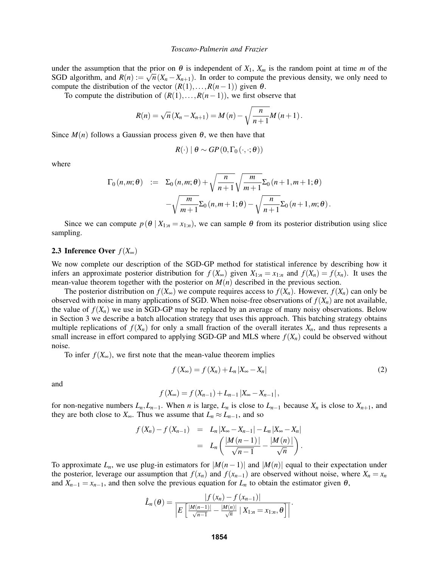under the assumption that the prior on  $\theta$  is independent of  $X_1$ ,  $X_m$  is the random point at time *m* of the SGD algorithm, and  $R(n) := \sqrt{n}(X_n - X_{n+1})$ . In order to compute the previous density, we only need to compute the distribution of the vector  $(R(1),...,R(n-1))$  given  $\theta$ .

To compute the distribution of  $(R(1),...,R(n-1))$ , we first observe that

$$
R(n) = \sqrt{n}(X_n - X_{n+1}) = M(n) - \sqrt{\frac{n}{n+1}}M(n+1).
$$

Since  $M(n)$  follows a Gaussian process given  $\theta$ , we then have that

$$
R(\cdot) | \theta \sim GP(0, \Gamma_0(\cdot, \cdot; \theta))
$$

where

$$
\Gamma_0(n,m;\theta) := \Sigma_0(n,m;\theta) + \sqrt{\frac{n}{n+1}} \sqrt{\frac{m}{m+1}} \Sigma_0(n+1,m+1;\theta) - \sqrt{\frac{m}{m+1}} \Sigma_0(n,m+1;\theta) - \sqrt{\frac{n}{n+1}} \Sigma_0(n+1,m;\theta).
$$

Since we can compute  $p(\theta | X_{1:n} = x_{1:n})$ , we can sample  $\theta$  from its posterior distribution using slice sampling.

## 2.3 Inference Over  $f(X_\infty)$

We now complete our description of the SGD-GP method for statistical inference by describing how it infers an approximate posterior distribution for  $f(X_{\infty})$  given  $X_{1:n} = x_{1:n}$  and  $f(X_n) = f(x_n)$ . It uses the mean-value theorem together with the posterior on  $M(n)$  described in the previous section.

The posterior distribution on  $f(X_\infty)$  we compute requires access to  $f(X_n)$ . However,  $f(X_n)$  can only be observed with noise in many applications of SGD. When noise-free observations of  $f(X_n)$  are not available, the value of  $f(X_n)$  we use in SGD-GP may be replaced by an average of many noisy observations. Below in Section 3 we describe a batch allocation strategy that uses this approach. This batching strategy obtains multiple replications of  $f(X_n)$  for only a small fraction of the overall iterates  $X_n$ , and thus represents a small increase in effort compared to applying SGD-GP and MLS where  $f(X_n)$  could be observed without noise.

To infer  $f(X_\infty)$ , we first note that the mean-value theorem implies

$$
f(X_{\infty}) = f(X_n) + L_n |X_{\infty} - X_n|
$$
\n(2)

and

$$
f(X_{\infty}) = f(X_{n-1}) + L_{n-1} |X_{\infty} - X_{n-1}|,
$$

for non-negative numbers  $L_n, L_{n-1}$ . When *n* is large,  $L_n$  is close to  $L_{n-1}$  because  $X_n$  is close to  $X_{n+1}$ , and they are both close to  $X_{\infty}$ . Thus we assume that  $L_n \approx L_{n-1}$ , and so

$$
f(X_n) - f(X_{n-1}) = L_n |X_{\infty} - X_{n-1}| - L_n |X_{\infty} - X_n|
$$
  
= 
$$
L_n \left( \frac{|M(n-1)|}{\sqrt{n-1}} - \frac{|M(n)|}{\sqrt{n}} \right).
$$

To approximate  $L_n$ , we use plug-in estimators for  $|M(n-1)|$  and  $|M(n)|$  equal to their expectation under the posterior, leverage our assumption that  $f(x_n)$  and  $f(x_{n-1})$  are observed without noise, where  $X_n = x_n$ and  $X_{n-1} = x_{n-1}$ , and then solve the previous equation for  $L_n$  to obtain the estimator given  $\theta$ ,

$$
\hat{L}_n(\theta) = \frac{|f(x_n) - f(x_{n-1})|}{\left|E\left[\frac{|M(n-1)|}{\sqrt{n-1}} - \frac{|M(n)|}{\sqrt{n}} \mid X_{1:n} = x_{1:n}, \theta\right]\right|}.
$$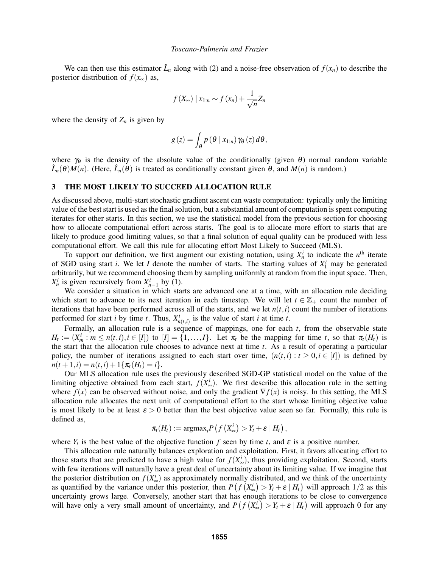We can then use this estimator  $\hat{L}_n$  along with (2) and a noise-free observation of  $f(x_n)$  to describe the posterior distribution of  $f(x_\infty)$  as,

$$
f(X_{\infty}) \mid x_{1:n} \sim f(x_n) + \frac{1}{\sqrt{n}} Z_n
$$

where the density of  $Z_n$  is given by

$$
g(z) = \int_{\theta} p(\theta \mid x_{1:n}) \gamma_{\theta}(z) d\theta,
$$

where  $\gamma_{\theta}$  is the density of the absolute value of the conditionally (given  $\theta$ ) normal random variable  $\hat{L}_n(\theta)M(n)$ . (Here,  $\hat{L}_n(\theta)$  is treated as conditionally constant given  $\theta$ , and  $M(n)$  is random.)

### 3 THE MOST LIKELY TO SUCCEED ALLOCATION RULE

As discussed above, multi-start stochastic gradient ascent can waste computation: typically only the limiting value of the best start is used as the final solution, but a substantial amount of computation is spent computing iterates for other starts. In this section, we use the statistical model from the previous section for choosing how to allocate computational effort across starts. The goal is to allocate more effort to starts that are likely to produce good limiting values, so that a final solution of equal quality can be produced with less computational effort. We call this rule for allocating effort Most Likely to Succeed (MLS).

To support our definition, we first augment our existing notation, using  $X_n^i$  to indicate the  $n^{\text{th}}$  iterate of SGD using start *i*. We let *I* denote the number of starts. The starting values of  $X_1^i$  may be generated arbitrarily, but we recommend choosing them by sampling uniformly at random from the input space. Then,  $X_n^i$  is given recursively from  $X_{n-1}^i$  by (1).

We consider a situation in which starts are advanced one at a time, with an allocation rule deciding which start to advance to its next iteration in each timestep. We will let  $t \in \mathbb{Z}_+$  count the number of iterations that have been performed across all of the starts, and we let  $n(t, i)$  count the number of iterations performed for start *i* by time *t*. Thus,  $X_{n(t,i)}^i$  is the value of start *i* at time *t*.

Formally, an allocation rule is a sequence of mappings, one for each  $t$ , from the observable state  $H_t := (X_m^i : m \le n(t,i), i \in [I])$  to  $[I] = \{1, \ldots, I\}$ . Let  $\pi_t$  be the mapping for time t, so that  $\pi_t(H_t)$  is the start that the allocation rule chooses to advance next at time *t*. As a result of operating a particular policy, the number of iterations assigned to each start over time,  $(n(t, i) : t \geq 0, i \in [I])$  is defined by  $n(t+1,i) = n(t,i) + 1\{\pi_t(H_t) = i\}.$ 

Our MLS allocation rule uses the previously described SGD-GP statistical model on the value of the limiting objective obtained from each start,  $f(X^i_{\infty})$ . We first describe this allocation rule in the setting where  $f(x)$  can be observed without noise, and only the gradient  $\nabla f(x)$  is noisy. In this setting, the MLS allocation rule allocates the next unit of computational effort to the start whose limiting objective value is most likely to be at least  $\epsilon > 0$  better than the best objective value seen so far. Formally, this rule is defined as,

$$
\pi_t(H_t) := \mathrm{argmax}_i P\left(f\left(X_\infty^i\right) > Y_t + \varepsilon \mid H_t\right),
$$

where  $Y_t$  is the best value of the objective function  $f$  seen by time  $t$ , and  $\varepsilon$  is a positive number.

This allocation rule naturally balances exploration and exploitation. First, it favors allocating effort to those starts that are predicted to have a high value for  $f(X^i_{\infty})$ , thus providing exploitation. Second, starts with few iterations will naturally have a great deal of uncertainty about its limiting value. If we imagine that the posterior distribution on  $f(X_{\infty}^i)$  as approximately normally distributed, and we think of the uncertainty as quantified by the variance under this posterior, then  $P(f(X_{\infty}^i) > Y_t + \varepsilon | H_t)$  will approach 1/2 as this uncertainty grows large. Conversely, another start that has enough iterations to be close to convergence will have only a very small amount of uncertainty, and  $P(f(X^i_{\infty}) > Y_t + \varepsilon | H_t)$  will approach 0 for any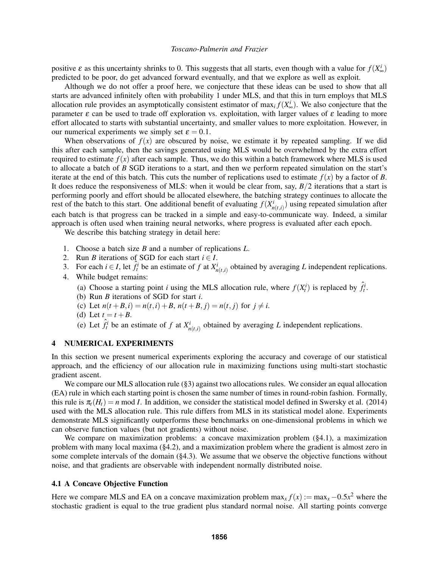positive  $\varepsilon$  as this uncertainty shrinks to 0. This suggests that all starts, even though with a value for  $f(X^i_{\infty})$ predicted to be poor, do get advanced forward eventually, and that we explore as well as exploit.

Although we do not offer a proof here, we conjecture that these ideas can be used to show that all starts are advanced infinitely often with probability 1 under MLS, and that this in turn employs that MLS allocation rule provides an asymptotically consistent estimator of  $\max_i f(X^i_{\infty})$ . We also conjecture that the parameter  $\varepsilon$  can be used to trade off exploration vs. exploitation, with larger values of  $\varepsilon$  leading to more effort allocated to starts with substantial uncertainty, and smaller values to more exploitation. However, in our numerical experiments we simply set  $\varepsilon = 0.1$ .

When observations of  $f(x)$  are obscured by noise, we estimate it by repeated sampling. If we did this after each sample, then the savings generated using MLS would be overwhelmed by the extra effort required to estimate  $f(x)$  after each sample. Thus, we do this within a batch framework where MLS is used to allocate a batch of *B* SGD iterations to a start, and then we perform repeated simulation on the start's iterate at the end of this batch. This cuts the number of replications used to estimate  $f(x)$  by a factor of *B*. It does reduce the responsiveness of MLS: when it would be clear from, say, *B*/2 iterations that a start is performing poorly and effort should be allocated elsewhere, the batching strategy continues to allocate the rest of the batch to this start. One additional benefit of evaluating  $f(X_{n(t,i)}^i)$  using repeated simulation after each batch is that progress can be tracked in a simple and easy-to-communicate way. Indeed, a similar approach is often used when training neural networks, where progress is evaluated after each epoch.

We describe this batching strategy in detail here:

- 1. Choose a batch size *B* and a number of replications *L*.
- 2. Run *B* iterations of SGD for each start  $i \in I$ .
- 3. For each  $i \in I$ , let  $\hat{f}^i_t$  be an estimate of  $f$  at  $X^i_{n(t,i)}$  obtained by averaging  $L$  independent replications.
- 4. While budget remains:
	- (a) Choose a starting point *i* using the MLS allocation rule, where  $f(X_t^i)$  is replaced by  $\hat{f}_t^i$ .
	- (b) Run *B* iterations of SGD for start *i*.
	- (c) Let  $n(t + B, i) = n(t, i) + B$ ,  $n(t + B, j) = n(t, j)$  for  $j \neq i$ .
	- (d) Let  $t = t + B$ .
	- (e) Let  $\hat{f}_t^i$  be an estimate of *f* at  $X_{n(t,i)}^i$  obtained by averaging *L* independent replications.

## 4 NUMERICAL EXPERIMENTS

In this section we present numerical experiments exploring the accuracy and coverage of our statistical approach, and the efficiency of our allocation rule in maximizing functions using multi-start stochastic gradient ascent.

We compare our MLS allocation rule (§3) against two allocations rules. We consider an equal allocation (EA) rule in which each starting point is chosen the same number of times in round-robin fashion. Formally, this rule is  $\pi_t(H_t) = n \mod I$ . In addition, we consider the statistical model defined in Swersky et al. (2014) used with the MLS allocation rule. This rule differs from MLS in its statistical model alone. Experiments demonstrate MLS significantly outperforms these benchmarks on one-dimensional problems in which we can observe function values (but not gradients) without noise.

We compare on maximization problems: a concave maximization problem (§4.1), a maximization problem with many local maxima (§4.2), and a maximization problem where the gradient is almost zero in some complete intervals of the domain (§4.3). We assume that we observe the objective functions without noise, and that gradients are observable with independent normally distributed noise.

## 4.1 A Concave Objective Function

Here we compare MLS and EA on a concave maximization problem  $\max_x f(x) := \max_x -0.5x^2$  where the stochastic gradient is equal to the true gradient plus standard normal noise. All starting points converge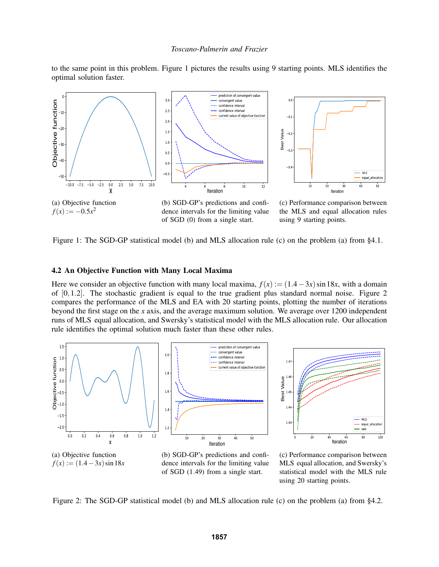to the same point in this problem. Figure 1 pictures the results using 9 starting points. MLS identifies the optimal solution faster.



Figure 1: The SGD-GP statistical model (b) and MLS allocation rule (c) on the problem (a) from §4.1.

### 4.2 An Objective Function with Many Local Maxima

Here we consider an objective function with many local maxima,  $f(x) := (1.4 - 3x) \sin 18x$ , with a domain of  $[0,1.2]$ . The stochastic gradient is equal to the true gradient plus standard normal noise. Figure 2 compares the performance of the MLS and EA with 20 starting points, plotting the number of iterations beyond the first stage on the *x* axis, and the average maximum solution. We average over 1200 independent runs of MLS equal allocation, and Swersky's statistical model with the MLS allocation rule. Our allocation rule identifies the optimal solution much faster than these other rules.



dence intervals for the limiting value of SGD (1.49) from a single start.

MLS equal allocation, and Swersky's statistical model with the MLS rule using 20 starting points.

using 9 starting points.

Figure 2: The SGD-GP statistical model (b) and MLS allocation rule (c) on the problem (a) from §4.2.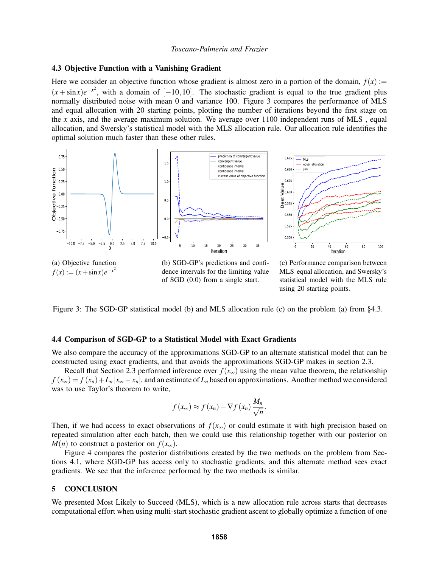### 4.3 Objective Function with a Vanishing Gradient

Here we consider an objective function whose gradient is almost zero in a portion of the domain,  $f(x)$  :=  $(x + \sin x)e^{-x^2}$ , with a domain of [−10,10]. The stochastic gradient is equal to the true gradient plus normally distributed noise with mean 0 and variance 100. Figure 3 compares the performance of MLS and equal allocation with 20 starting points, plotting the number of iterations beyond the first stage on the *x* axis, and the average maximum solution. We average over 1100 independent runs of MLS , equal allocation, and Swersky's statistical model with the MLS allocation rule. Our allocation rule identifies the optimal solution much faster than these other rules.



Figure 3: The SGD-GP statistical model (b) and MLS allocation rule (c) on the problem (a) from §4.3.

using 20 starting points.

## 4.4 Comparison of SGD-GP to a Statistical Model with Exact Gradients

We also compare the accuracy of the approximations SGD-GP to an alternate statistical model that can be constructed using exact gradients, and that avoids the approximations SGD-GP makes in section 2.3.

Recall that Section 2.3 performed inference over  $f(x_{\infty})$  using the mean value theorem, the relationship  $f(x_\infty) = f(x_n) + L_n |x_\infty - x_n|$ , and an estimate of  $L_n$  based on approximations. Another method we considered was to use Taylor's theorem to write,

$$
f(x_{\infty}) \approx f(x_n) - \nabla f(x_n) \frac{M_n}{\sqrt{n}}.
$$

Then, if we had access to exact observations of  $f(x_{\infty})$  or could estimate it with high precision based on repeated simulation after each batch, then we could use this relationship together with our posterior on *M*(*n*) to construct a posterior on  $f(x_\infty)$ .

Figure 4 compares the posterior distributions created by the two methods on the problem from Sections 4.1, where SGD-GP has access only to stochastic gradients, and this alternate method sees exact gradients. We see that the inference performed by the two methods is similar.

### 5 CONCLUSION

We presented Most Likely to Succeed (MLS), which is a new allocation rule across starts that decreases computational effort when using multi-start stochastic gradient ascent to globally optimize a function of one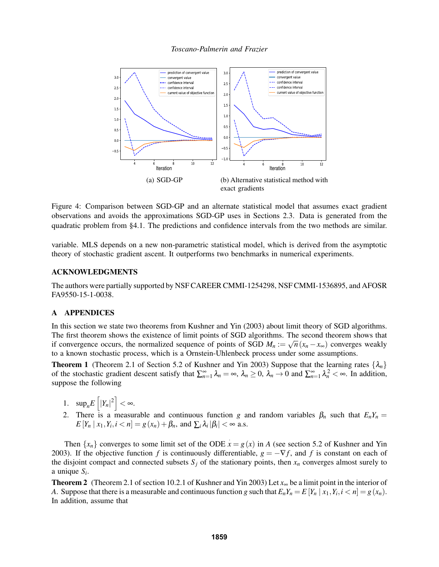

Figure 4: Comparison between SGD-GP and an alternate statistical model that assumes exact gradient observations and avoids the approximations SGD-GP uses in Sections 2.3. Data is generated from the quadratic problem from §4.1. The predictions and confidence intervals from the two methods are similar.

variable. MLS depends on a new non-parametric statistical model, which is derived from the asymptotic theory of stochastic gradient ascent. It outperforms two benchmarks in numerical experiments.

### ACKNOWLEDGMENTS

The authors were partially supported by NSF CAREER CMMI-1254298, NSF CMMI-1536895, and AFOSR FA9550-15-1-0038.

## A APPENDICES

In this section we state two theorems from Kushner and Yin (2003) about limit theory of SGD algorithms. The first theorem shows the existence of limit points of SGD algorithms. The second theorem shows that if convergence occurs, the normalized sequence of points of SGD  $M_n := \sqrt{n}(x_n - x_\infty)$  converges weakly to a known stochastic process, which is a Ornstein-Uhlenbeck process under some assumptions.

**Theorem 1** (Theorem 2.1 of Section 5.2 of Kushner and Yin 2003) Suppose that the learning rates  $\{\lambda_n\}$ of the stochastic gradient descent satisfy that  $\sum_{n=1}^{\infty} \lambda_n = \infty$ ,  $\lambda_n \ge 0$ ,  $\lambda_n \to 0$  and  $\sum_{n=1}^{\infty} \lambda_n^2 < \infty$ . In addition, suppose the following

- 1.  $\sup_n E\left[|Y_n|^2\right] < \infty$ .
- 2. There is a measurable and continuous function *g* and random variables  $\beta_n$  such that  $E_n Y_n =$  $E[Y_n | x_1, Y_i, i < n] = g(x_n) + \beta_n$ , and  $\sum_i \lambda_i |\beta_i| < \infty$  a.s.

Then  $\{x_n\}$  converges to some limit set of the ODE  $x = g(x)$  in *A* (see section 5.2 of Kushner and Yin 2003). If the objective function *f* is continuously differentiable,  $g = -\nabla f$ , and *f* is constant on each of the disjoint compact and connected subsets  $S_j$  of the stationary points, then  $x_n$  converges almost surely to a unique *S<sup>i</sup>* .

Theorem 2 (Theorem 2.1 of section 10.2.1 of Kushner and Yin 2003) Let *x*<sup>∞</sup> be a limit point in the interior of A. Suppose that there is a measurable and continuous function g such that  $E_nY_n = E[Y_n | x_1, Y_i, i < n] = g(x_n)$ . In addition, assume that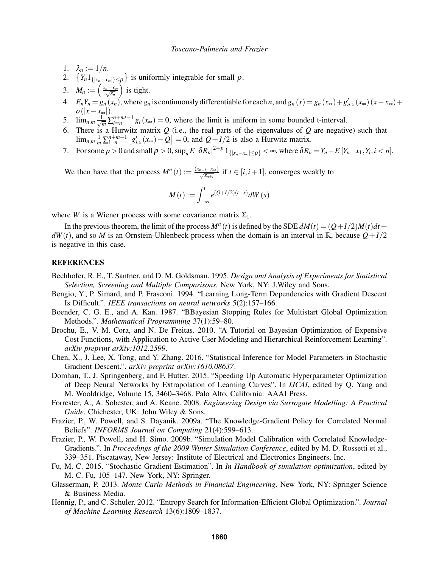- 1.  $\lambda_n := 1/n$ .
- 2.  $\{Y_n 1_{\{|x_n x_\infty|\}\leq \rho}\}$  is uniformly integrable for small  $\rho$ .
- 3.  $M_n := \left(\frac{x_n x_\infty}{\sqrt{\varepsilon_n}}\right)$ ) is tight.
- 4.  $E_n Y_n = g_n(x_n)$ , where  $g_n$  is continuously differentiable for each n, and  $g_n(x) = g_n(x_\infty) + g'_{n,x}(x_\infty)(x x_\infty) +$ *o*(|*x*−*x*∞|).
- 5.  $\lim_{n,m} \frac{1}{\sqrt{m}} \sum_{i=n}^{n+mt-1} g_i(x_\infty) = 0$ , where the limit is uniform in some bounded t-interval.
- 6. There is a Hurwitz matrix *Q* (i.e., the real parts of the eigenvalues of *Q* are negative) such that  $\lim_{n,m} \frac{1}{m} \sum_{i=n}^{n+m-1} \left[ g'_{i,x}(x_\infty) - Q \right] = 0$ , and  $Q + I/2$  is also a Hurwitz matrix.
- 7. For some  $p > 0$  and small  $\rho > 0$ ,  $\sup_n E |\delta R_n|^{2+p} 1_{\{|x_n x_\infty| \leq \rho\}} < \infty$ , where  $\delta R_n = Y_n E[Y_n | x_1, Y_i, i < n]$ .

We then have that the process  $M^n(t) := \frac{(x_{n+i}-x_{\infty})}{\sqrt{\varepsilon_{n+i}}}$  if  $t \in [i, i+1]$ , converges weakly to

$$
M(t) := \int_{-\infty}^{t} e^{(Q+I/2)(t-s)} dW(s)
$$

where *W* is a Wiener process with some covariance matrix  $\Sigma_1$ .

In the previous theorem, the limit of the process  $M^n(t)$  is defined by the SDE  $dM(t) = (Q + I/2)M(t)dt +$  $dW(t)$ , and so *M* is an Ornstein-Uhlenbeck process when the domain is an interval in R, because  $Q + I/2$ is negative in this case.

## REFERENCES

- Bechhofer, R. E., T. Santner, and D. M. Goldsman. 1995. *Design and Analysis of Experiments for Statistical Selection, Screening and Multiple Comparisons.* New York, NY: J.Wiley and Sons.
- Bengio, Y., P. Simard, and P. Frasconi. 1994. "Learning Long-Term Dependencies with Gradient Descent Is Difficult.". *IEEE transactions on neural networks* 5(2):157–166.
- Boender, C. G. E., and A. Kan. 1987. "BBayesian Stopping Rules for Multistart Global Optimization Methods.". *Mathematical Programming* 37(1):59–80.
- Brochu, E., V. M. Cora, and N. De Freitas. 2010. "A Tutorial on Bayesian Optimization of Expensive Cost Functions, with Application to Active User Modeling and Hierarchical Reinforcement Learning". *arXiv preprint arXiv:1012.2599*.
- Chen, X., J. Lee, X. Tong, and Y. Zhang. 2016. "Statistical Inference for Model Parameters in Stochastic Gradient Descent.". *arXiv preprint arXiv:1610.08637*.
- Domhan, T., J. Springenberg, and F. Hutter. 2015. "Speeding Up Automatic Hyperparameter Optimization of Deep Neural Networks by Extrapolation of Learning Curves". In *IJCAI*, edited by Q. Yang and M. Wooldridge, Volume 15, 3460–3468. Palo Alto, California: AAAI Press.
- Forrester, A., A. Sobester, and A. Keane. 2008. *Engineering Design via Surrogate Modelling: A Practical Guide*. Chichester, UK: John Wiley & Sons.
- Frazier, P., W. Powell, and S. Dayanik. 2009a. "The Knowledge-Gradient Policy for Correlated Normal Beliefs". *INFORMS Journal on Computing* 21(4):599–613.
- Frazier, P., W. Powell, and H. Simo. 2009b. "Simulation Model Calibration with Correlated Knowledge-Gradients.". In *Proceedings of the 2009 Winter Simulation Conference*, edited by M. D. Rossetti et al., 339–351. Piscataway, New Jersey: Institute of Electrical and Electronics Engineers, Inc.
- Fu, M. C. 2015. "Stochastic Gradient Estimation". In *In Handbook of simulation optimization*, edited by M. C. Fu, 105–147. New York, NY: Springer.
- Glasserman, P. 2013. *Monte Carlo Methods in Financial Engineering*. New York, NY: Springer Science & Business Media.
- Hennig, P., and C. Schuler. 2012. "Entropy Search for Information-Efficient Global Optimization.". *Journal of Machine Learning Research* 13(6):1809–1837.